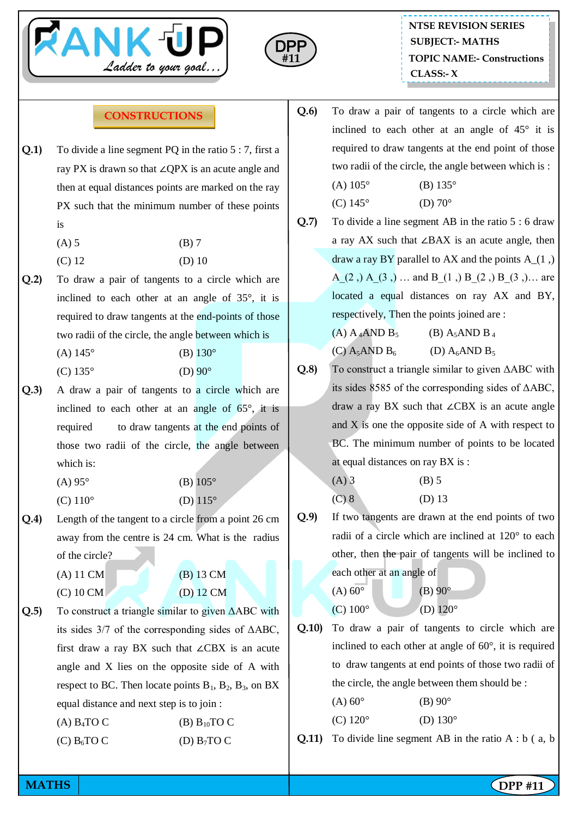



## **CONSTRUCTIONS**

- **Q.1)** To divide a line segment PQ in the ratio 5 : 7, first a ray PX is drawn so that ∠QPX is an acute angle and then at equal distances points are marked on the ray PX such that the minimum number of these points is
	- $(A) 5$  (B) 7
	- $(C) 12$  (D) 10
- **Q.2)** To draw a pair of tangents to a circle which are inclined to each other at an angle of 35°, it is required to draw tangents at the end-points of those two radii of the circle, the angle between which is
	- (A)  $145^{\circ}$  (B)  $130^{\circ}$
	- (C)  $135^{\circ}$  (D)  $90^{\circ}$
- **Q.3)** A draw a pair of tangents to a circle which are inclined to each other at an angle of  $65^\circ$ , it is required to draw tangents at the end points of those two radii of the circle, the angle between which is:
	- (A)  $95^{\circ}$  (B)  $105^{\circ}$
	- (C)  $110^{\circ}$  (D)  $115^{\circ}$
- **Q.4)** Length of the tangent to a circle from a point 26 cm away from the centre is 24 cm. What is the radius of the circle?
	-
	- (A) 11 CM (B) 13 CM (C) 10 CM (D) 12 CM
- **Q.5)** To construct a triangle similar to given ΔABC with its sides 3/7 of the corresponding sides of ΔABC, first draw a ray BX such that ∠CBX is an acute angle and X lies on the opposite side of A with respect to BC. Then locate points  $B_1$ ,  $B_2$ ,  $B_3$ , on BX equal distance and next step is to join :

(A)  $B_4TOC$  (B)  $B_{10}TOC$ (C)  $B_6TO$  C (D)  $B_7TO$  C

- **Q.6)** To draw a pair of tangents to a circle which are inclined to each other at an angle of 45° it is required to draw tangents at the end point of those two radii of the circle, the angle between which is :
	- (A)  $105^{\circ}$  (B)  $135^{\circ}$ (C)  $145^{\circ}$  (D)  $70^{\circ}$
- **Q.7)** To divide a line segment AB in the ratio 5 : 6 draw a ray AX such that ∠BAX is an acute angle, then draw a ray BY parallel to AX and the points  $A(1)$ , A  $(2,)$  A  $(3,)$  … and B  $(1,)$  B  $(2,)$  B  $(3,)$ … are located a equal distances on ray AX and BY, respectively, Then the points joined are :
	- (A)  $A_4$ AND  $B_5$  (B)  $A_5$ AND  $B_4$ (C)  $A_5AND B_6$  (D)  $A_6AND B_5$
- **Q.8)** To construct a triangle similar to given ΔABC with its sides 8585 of the corresponding sides of ΔABC, draw a ray BX such that ∠CBX is an acute angle and X is one the opposite side of A with respect to BC. The minimum number of points to be located at equal distances on ray BX is :
	- $(A)$  3 (B) 5 (C) 8 (D) 13
- **Q.9)** If two tangents are drawn at the end points of two radii of a circle which are inclined at 120° to each other, then the pair of tangents will be inclined to each other at an angle of
	- (A)  $60^{\circ}$  (B)  $90^{\circ}$ (C)  $100^{\circ}$  (D)  $120^{\circ}$
- **Q.10)** To draw a pair of tangents to circle which are inclined to each other at angle of 60°, it is required to draw tangents at end points of those two radii of the circle, the angle between them should be :
	- (A)  $60^{\circ}$  (B)  $90^{\circ}$ (C)  $120^{\circ}$  (D)  $130^{\circ}$
- **Q.11)** To divide line segment AB in the ratio A : b (a, b)

**MATHS** | **DPP #11**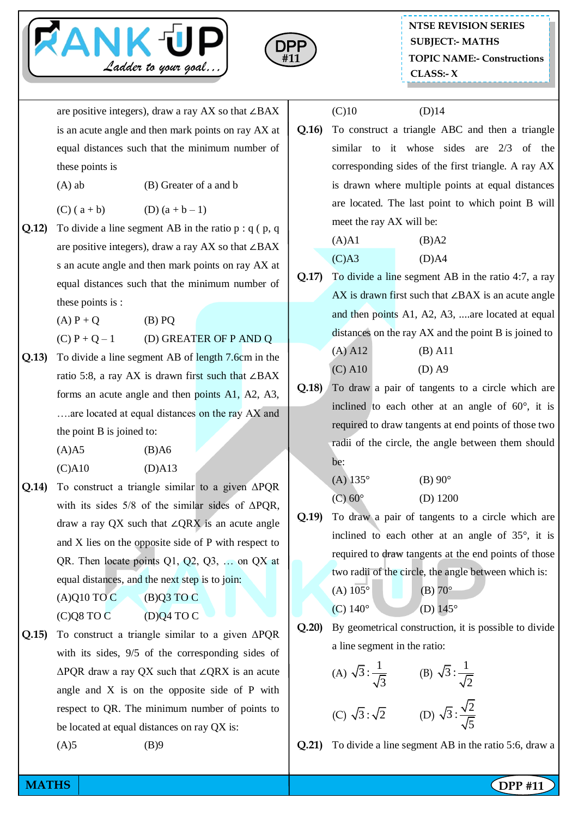



are positive integers), draw a ray AX so that ∠BAX is an acute angle and then mark points on ray AX at equal distances such that the minimum number of these points is

(A) ab (B) Greater of a and b

(C)  $(a + b)$  (D)  $(a + b - 1)$ 

- **Q.12)** To divide a line segment AB in the ratio p : q ( p, q are positive integers), draw a ray AX so that ∠BAX s an acute angle and then mark points on ray AX at equal distances such that the minimum number of these points is :
	- (A)  $P + Q$  (B) PQ

 $(C) P + Q - 1$  (D) GREATER OF P AND Q

**Q.13)** To divide a line segment AB of length 7.6cm in the ratio 5:8, a ray AX is drawn first such that ∠BAX forms an acute angle and then points A1, A2, A3, ….are located at equal distances on the ray AX and the point B is joined to:

> (A)A5 (B)A6 (C)A10 (D)A13

**Q.14)** To construct a triangle similar to a given ΔPQR with its sides  $5/8$  of the similar sides of  $\triangle POR$ . draw a ray QX such that ∠QRX is an acute angle and X lies on the opposite side of P with respect to QR. Then locate points Q1, Q2, Q3, … on QX at equal distances, and the next step is to join:

 $(A)Q10TOC$   $(B)Q3TOC$ 

 $(C)$ Q8 TO C  $(D)$ Q4 TO C

**Q.15)** To construct a triangle similar to a given ΔPQR with its sides, 9/5 of the corresponding sides of ΔPQR draw a ray QX such that ∠QRX is an acute angle and X is on the opposite side of P with respect to QR. The minimum number of points to be located at equal distances on ray QX is:

(A)5 (B)9

 $(C)10$   $(D)14$ 

**Q.16)** To construct a triangle ABC and then a triangle similar to it whose sides are 2/3 of the corresponding sides of the first triangle. A ray AX is drawn where multiple points at equal distances are located. The last point to which point B will meet the ray AX will be:

$$
(A)A1 \t\t (B)A2
$$
  

$$
(C)A3 \t\t (D)A4
$$

- **Q.17)** To divide a line segment AB in the ratio 4:7, a ray AX is drawn first such that ∠BAX is an acute angle and then points A1, A2, A3, ....are located at equal distances on the ray AX and the point B is joined to (A) A12 (B) A11
	- (C) A10 (D) A9
- **Q.18)** To draw a pair of tangents to a circle which are inclined to each other at an angle of 60°, it is required to draw tangents at end points of those two radii of the circle, the angle between them should be:

(A) 135° (B) 90° (C) 60° (D) 1200

**Q.19)** To draw a pair of tangents to a circle which are inclined to each other at an angle of 35°, it is required to draw tangents at the end points of those two radii of the circle, the angle between which is:

(A) 105° (B) 70° (C) 140° (D) 145°

**Q.20)** By geometrical construction, it is possible to divide a line segment in the ratio:

(A) 
$$
\sqrt{3} : \frac{1}{\sqrt{3}}
$$
 (B)  $\sqrt{3} : \frac{1}{\sqrt{2}}$   
(C)  $\sqrt{3} : \sqrt{2}$  (D)  $\sqrt{3} : \frac{\sqrt{2}}{\sqrt{5}}$ 

**Q.21)** To divide a line segment AB in the ratio 5:6, draw a

**MATHS** | **DPP #11**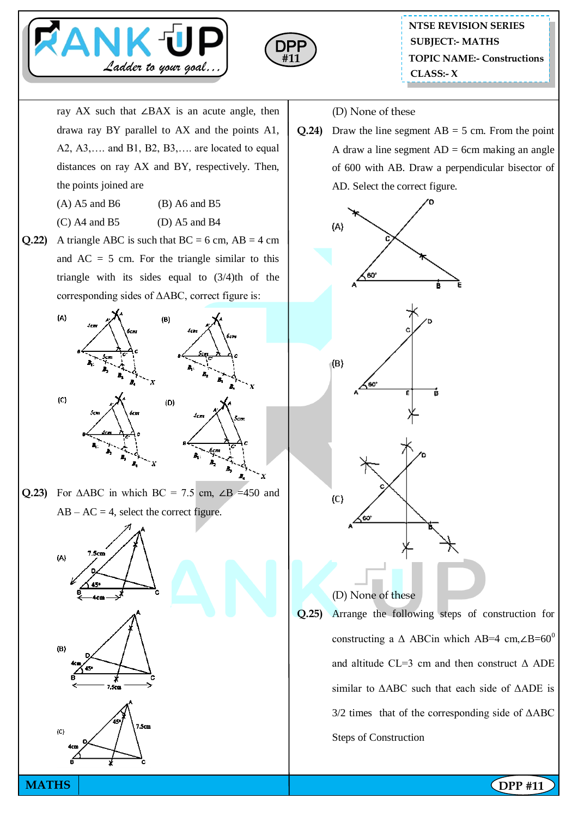



ray AX such that ∠BAX is an acute angle, then drawa ray BY parallel to AX and the points A1, A2, A3,…. and B1, B2, B3,…. are located to equal distances on ray AX and BY, respectively. Then, the points joined are

- $(A)$  A5 and B6 (B) A6 and B5
- $(C)$  A4 and B5 (D) A5 and B4
- **Q.22)** A triangle ABC is such that  $BC = 6$  cm,  $AB = 4$  cm and  $AC = 5$  cm. For the triangle similar to this triangle with its sides equal to (3/4)th of the corresponding sides of ΔABC, correct figure is:



Q.23) For  $\triangle ABC$  in which BC = 7.5 cm,  $\angle B$  =450 and  $AB - AC = 4$ , select the correct figure.

B.







(D) None of these

**Q.24)** Draw the line segment  $AB = 5$  cm. From the point A draw a line segment  $AD = 6cm$  making an angle of 600 with AB. Draw a perpendicular bisector of AD. Select the correct figure.



**Q.25)** Arrange the following steps of construction for constructing a  $\triangle$  ABCin which AB=4 cm,∠B=60<sup>0</sup> and altitude CL=3 cm and then construct  $\triangle$  ADE similar to ΔABC such that each side of ΔADE is  $3/2$  times that of the corresponding side of  $\triangle$ ABC Steps of Construction

**MATHS** | **DPP #11**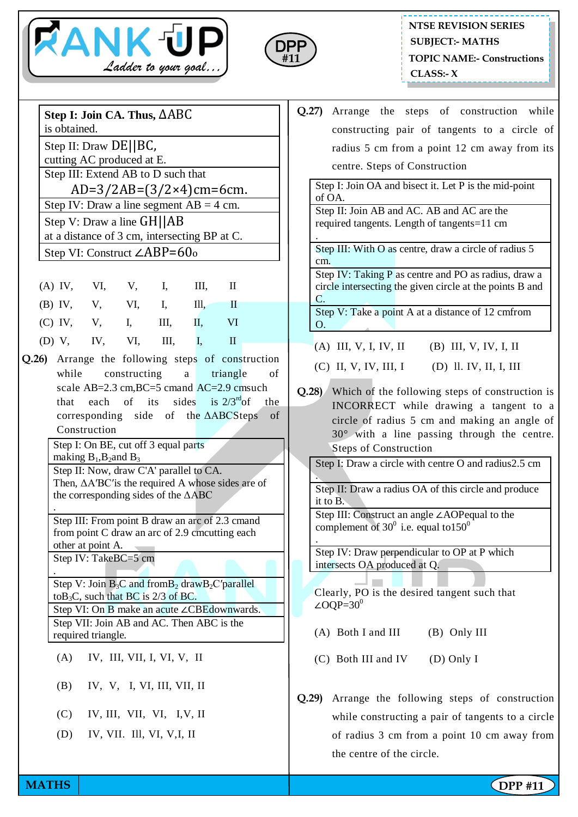



## **NTSE REVISION SERIES TOPIC NAME:- Constructions CLASS:- X SUBJECT:- MATHS**

| Step I: Join CA. Thus, $\triangle ABC$<br>is obtained.                    |                                                                          |                                                                                                                                                                                                                                        |     |                                                                                                                                                                                                                                                                  |          |     | Q |  |  |  |
|---------------------------------------------------------------------------|--------------------------------------------------------------------------|----------------------------------------------------------------------------------------------------------------------------------------------------------------------------------------------------------------------------------------|-----|------------------------------------------------------------------------------------------------------------------------------------------------------------------------------------------------------------------------------------------------------------------|----------|-----|---|--|--|--|
|                                                                           | Step II: Draw $DE  BC$ ,                                                 |                                                                                                                                                                                                                                        |     |                                                                                                                                                                                                                                                                  |          |     |   |  |  |  |
|                                                                           | cutting AC produced at E.                                                |                                                                                                                                                                                                                                        |     |                                                                                                                                                                                                                                                                  |          |     |   |  |  |  |
|                                                                           | Step III: Extend AB to D such that<br>AD=3/2AB= $(3/2 \times 4)$ cm=6cm. |                                                                                                                                                                                                                                        |     |                                                                                                                                                                                                                                                                  |          |     |   |  |  |  |
|                                                                           |                                                                          |                                                                                                                                                                                                                                        |     |                                                                                                                                                                                                                                                                  |          |     |   |  |  |  |
| Step IV: Draw a line segment $AB = 4$ cm.                                 |                                                                          |                                                                                                                                                                                                                                        |     |                                                                                                                                                                                                                                                                  |          |     |   |  |  |  |
|                                                                           |                                                                          | Step V: Draw a line $GH  AB$<br>(A) IV, V, V, I,<br>III,<br>$\mathbf{I}$<br>(B) IV, V, VI, I,<br>$\mathbf{I}$<br>III,<br>(C) IV, V, I, III, II, VI<br>$III,$ $I,$<br>$\mathbf{I}$<br>Q.26) Arrange the following steps of construction |     |                                                                                                                                                                                                                                                                  |          |     |   |  |  |  |
| at a distance of 3 cm, intersecting BP at C.                              |                                                                          |                                                                                                                                                                                                                                        |     |                                                                                                                                                                                                                                                                  |          |     |   |  |  |  |
| Step VI: Construct $\angle$ ABP=60 <sub>0</sub>                           |                                                                          |                                                                                                                                                                                                                                        |     |                                                                                                                                                                                                                                                                  |          |     |   |  |  |  |
|                                                                           |                                                                          |                                                                                                                                                                                                                                        |     |                                                                                                                                                                                                                                                                  |          |     |   |  |  |  |
|                                                                           |                                                                          |                                                                                                                                                                                                                                        |     |                                                                                                                                                                                                                                                                  |          |     |   |  |  |  |
|                                                                           |                                                                          |                                                                                                                                                                                                                                        |     |                                                                                                                                                                                                                                                                  |          |     |   |  |  |  |
| (D) V, IV, VI,                                                            |                                                                          |                                                                                                                                                                                                                                        |     |                                                                                                                                                                                                                                                                  |          |     |   |  |  |  |
|                                                                           |                                                                          |                                                                                                                                                                                                                                        |     |                                                                                                                                                                                                                                                                  |          |     |   |  |  |  |
|                                                                           | while constructing                                                       |                                                                                                                                                                                                                                        |     | $\mathbf{a}$                                                                                                                                                                                                                                                     | triangle | οf  |   |  |  |  |
| that                                                                      | scale AB=2.3 cm, BC=5 cmand AC=2.9 cmsuch                                | each of                                                                                                                                                                                                                                | its | sides is $2/3^{rd}$ of                                                                                                                                                                                                                                           |          | the | Q |  |  |  |
|                                                                           | corresponding side of the $\triangle ABCSteps$ of                        |                                                                                                                                                                                                                                        |     |                                                                                                                                                                                                                                                                  |          |     |   |  |  |  |
|                                                                           |                                                                          |                                                                                                                                                                                                                                        |     |                                                                                                                                                                                                                                                                  |          |     |   |  |  |  |
|                                                                           | Construction<br>Step I: On BE, cut off 3 equal parts                     |                                                                                                                                                                                                                                        |     |                                                                                                                                                                                                                                                                  |          |     |   |  |  |  |
| making $B_1$ , $B_2$ and $B_3$<br>Step II: Now, draw C'A' parallel to CA. |                                                                          |                                                                                                                                                                                                                                        |     |                                                                                                                                                                                                                                                                  |          |     |   |  |  |  |
| Then, $\triangle$ A'BC' is the required A whose sides are of              |                                                                          |                                                                                                                                                                                                                                        |     |                                                                                                                                                                                                                                                                  |          |     |   |  |  |  |
|                                                                           | the corresponding sides of the $\triangle ABC$                           |                                                                                                                                                                                                                                        |     |                                                                                                                                                                                                                                                                  |          |     |   |  |  |  |
|                                                                           |                                                                          |                                                                                                                                                                                                                                        |     |                                                                                                                                                                                                                                                                  |          |     |   |  |  |  |
|                                                                           |                                                                          |                                                                                                                                                                                                                                        |     |                                                                                                                                                                                                                                                                  |          |     |   |  |  |  |
|                                                                           | other at point A.                                                        |                                                                                                                                                                                                                                        |     |                                                                                                                                                                                                                                                                  |          |     |   |  |  |  |
| Step IV: TakeBC=5 cm                                                      |                                                                          |                                                                                                                                                                                                                                        |     |                                                                                                                                                                                                                                                                  |          |     |   |  |  |  |
|                                                                           |                                                                          |                                                                                                                                                                                                                                        |     | Step III: From point B draw an arc of 2.3 cmand<br>from point C draw an arc of 2.9 cmcutting each<br>Step V: Join $B_3C$ and from $B_2$ draw $B_2C$ 'parallel<br>to B <sub>3</sub> C, such that BC is $2/3$ of BC.<br>Step VI: On B make an acute ∠CBEdownwards. |          |     |   |  |  |  |
|                                                                           |                                                                          |                                                                                                                                                                                                                                        |     |                                                                                                                                                                                                                                                                  |          |     | Q |  |  |  |
|                                                                           | Step VII: Join AB and AC. Then ABC is the                                |                                                                                                                                                                                                                                        |     |                                                                                                                                                                                                                                                                  |          |     |   |  |  |  |
|                                                                           | required triangle.                                                       |                                                                                                                                                                                                                                        |     |                                                                                                                                                                                                                                                                  |          |     |   |  |  |  |
| (A)                                                                       |                                                                          | IV, III, VII, I, VI, V, II                                                                                                                                                                                                             |     |                                                                                                                                                                                                                                                                  |          |     |   |  |  |  |
| (B)                                                                       |                                                                          | IV, V, I, VI, III, VII, II                                                                                                                                                                                                             |     |                                                                                                                                                                                                                                                                  |          |     |   |  |  |  |
|                                                                           | $(C)$ IV, III, VII, VI, I, V, II                                         |                                                                                                                                                                                                                                        |     |                                                                                                                                                                                                                                                                  |          |     |   |  |  |  |
|                                                                           | (D) IV, VII. Ill, VI, V, I, II                                           |                                                                                                                                                                                                                                        |     |                                                                                                                                                                                                                                                                  |          |     |   |  |  |  |
|                                                                           |                                                                          |                                                                                                                                                                                                                                        |     |                                                                                                                                                                                                                                                                  |          |     |   |  |  |  |
|                                                                           |                                                                          |                                                                                                                                                                                                                                        |     |                                                                                                                                                                                                                                                                  |          |     |   |  |  |  |

**Q.27)** Arrange the steps of construction while constructing pair of tangents to a circle of radius 5 cm from a point 12 cm away from its centre. Steps of Construction

Step I: Join OA and bisect it. Let P is the mid-point of OA.

Step II: Join AB and AC. AB and AC are the required tangents. Length of tangents=11 cm .

Step III: With O as centre, draw a circle of radius 5 cm.

Step IV: Taking P as centre and PO as radius, draw a circle intersecting the given circle at the points B and C.

Step V: Take a point A at a distance of 12 cmfrom O.

- (A) III, V, I, IV, II (B) III, V, IV, I, II
- (C) II, V, IV, III, I (D) ll. IV, II, I, III
- **Q.28)** Which of the following steps of construction is INCORRECT while drawing a tangent to a circle of radius 5 cm and making an angle of 30° with a line passing through the centre. Steps of Construction

Step I: Draw a circle with centre O and radius2.5 cm

. Step II: Draw a radius OA of this circle and produce it to B.

Step III: Construct an angle ∠AOPequal to the complement of  $30^0$  i.e. equal to  $150^0$ 

Step IV: Draw perpendicular to OP at P which intersects OA produced at Q.

Clearly, PO is the desired tangent such that ∠OQP= $30^0$ 

(A) Both I and III (B) Only III

.

- (C) Both III and IV (D) Only I
- **Q.29)** Arrange the following steps of construction while constructing a pair of tangents to a circle of radius 3 cm from a point 10 cm away from the centre of the circle.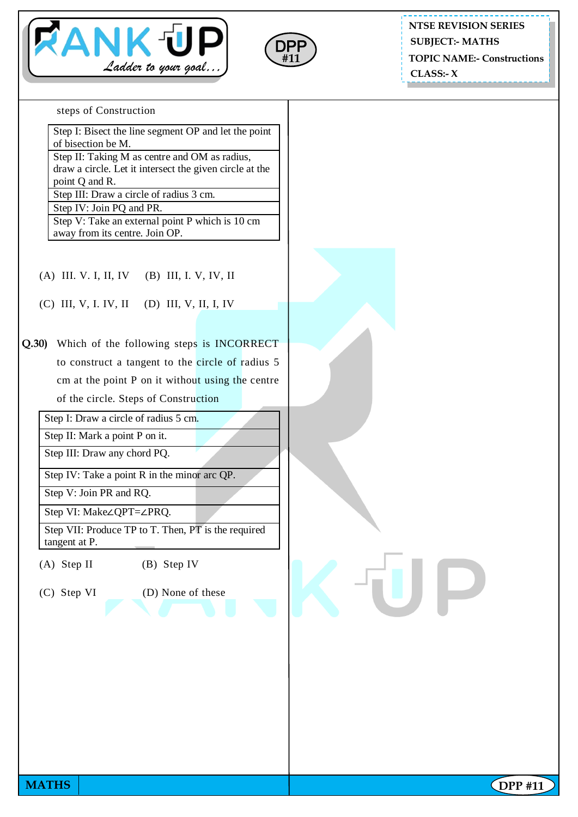



**NTSE REVISION SERIES SUBJECT:- MATHS**

**TOPIC NAME:- Constructions**

**CLASS:- X**

steps of Construction

Step I: Bisect the line segment OP and let the point of bisection be M.

Step II: Taking M as centre and OM as radius, draw a circle. Let it intersect the given circle at the point Q and R.

Step III: Draw a circle of radius 3 cm.

Step IV: Join PQ and PR.

Step V: Take an external point P which is 10 cm away from its centre. Join OP.

(A) III. V. I, II, IV (B) III, I. V, IV, II

(C) III, V, I. IV, II (D) III, V, II, I, IV

**Q.30)** Which of the following steps is INCORRECT to construct a tangent to the circle of radius 5 cm at the point P on it without using the centre of the circle. Steps of Construction

Step I: Draw a circle of radius 5 cm.

Step II: Mark a point P on it.

Step III: Draw any chord PQ.

Step IV: Take a point R in the minor arc QP.

Step V: Join PR and RQ.

Step VI: Make∠QPT=∠PRQ.

Step VII: Produce TP to T. Then, PT is the required tangent at P.

(A) Step II (B) Step IV

(C) Step VI (D) None of these